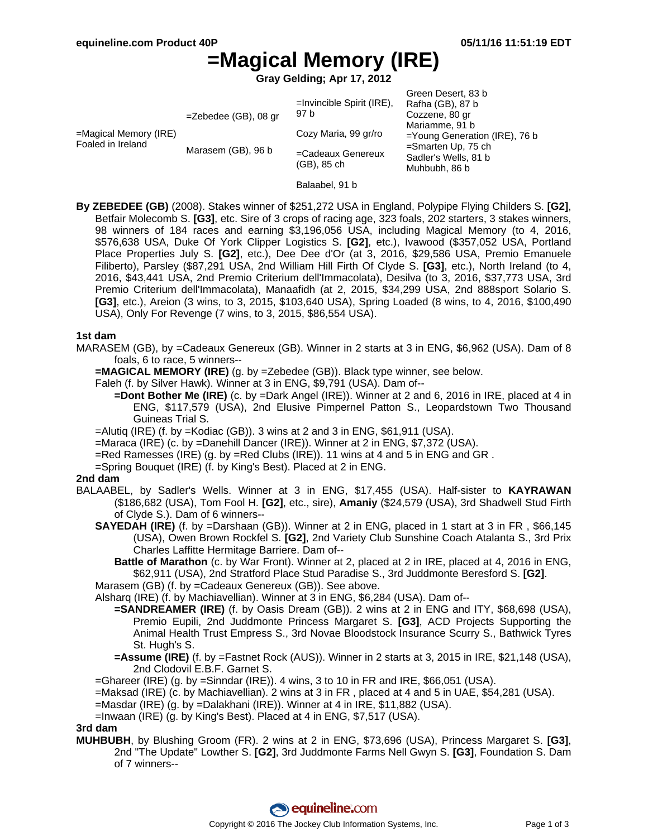# **=Magical Memory (IRE)**

**Gray Gelding; Apr 17, 2012**

|                                               | $=$ Zebedee (GB), 08 gr | $=$ Invincible Spirit (IRE),<br>97 b | Green Desert, 83 b<br>Rafha (GB), 87 b<br>Cozzene, 80 gr<br>Mariamme, 91 b<br>=Young Generation (IRE), 76 b<br>$=$ Smarten Up, 75 ch<br>Sadler's Wells, 81 b<br>Muhbubh, 86 b |
|-----------------------------------------------|-------------------------|--------------------------------------|-------------------------------------------------------------------------------------------------------------------------------------------------------------------------------|
| $=$ Magical Memory (IRE)<br>Foaled in Ireland | Marasem (GB), 96 b      | Cozy Maria, 99 gr/ro                 |                                                                                                                                                                               |
|                                               |                         | =Cadeaux Genereux<br>(GB), 85 ch     |                                                                                                                                                                               |

- Balaabel, 91 b
- **By ZEBEDEE (GB)** (2008). Stakes winner of \$251,272 USA in England, Polypipe Flying Childers S. **[G2]**, Betfair Molecomb S. **[G3]**, etc. Sire of 3 crops of racing age, 323 foals, 202 starters, 3 stakes winners, 98 winners of 184 races and earning \$3,196,056 USA, including Magical Memory (to 4, 2016, \$576,638 USA, Duke Of York Clipper Logistics S. **[G2]**, etc.), Ivawood (\$357,052 USA, Portland Place Properties July S. **[G2]**, etc.), Dee Dee d'Or (at 3, 2016, \$29,586 USA, Premio Emanuele Filiberto), Parsley (\$87,291 USA, 2nd William Hill Firth Of Clyde S. **[G3]**, etc.), North Ireland (to 4, 2016, \$43,441 USA, 2nd Premio Criterium dell'Immacolata), Desilva (to 3, 2016, \$37,773 USA, 3rd Premio Criterium dell'Immacolata), Manaafidh (at 2, 2015, \$34,299 USA, 2nd 888sport Solario S. **[G3]**, etc.), Areion (3 wins, to 3, 2015, \$103,640 USA), Spring Loaded (8 wins, to 4, 2016, \$100,490 USA), Only For Revenge (7 wins, to 3, 2015, \$86,554 USA).

#### **1st dam**

- MARASEM (GB), by =Cadeaux Genereux (GB). Winner in 2 starts at 3 in ENG, \$6,962 (USA). Dam of 8 foals, 6 to race, 5 winners--
	- **=MAGICAL MEMORY (IRE)** (g. by =Zebedee (GB)). Black type winner, see below.

Faleh (f. by Silver Hawk). Winner at 3 in ENG, \$9,791 (USA). Dam of--

- **=Dont Bother Me (IRE)** (c. by =Dark Angel (IRE)). Winner at 2 and 6, 2016 in IRE, placed at 4 in ENG, \$117,579 (USA), 2nd Elusive Pimpernel Patton S., Leopardstown Two Thousand Guineas Trial S.
- $=$ Alutiq (IRE) (f. by  $=$ Kodiac (GB)). 3 wins at 2 and 3 in ENG, \$61,911 (USA).
- =Maraca (IRE) (c. by =Danehill Dancer (IRE)). Winner at 2 in ENG, \$7,372 (USA).
- =Red Ramesses (IRE) (g. by =Red Clubs (IRE)). 11 wins at 4 and 5 in ENG and GR .
- =Spring Bouquet (IRE) (f. by King's Best). Placed at 2 in ENG.

#### **2nd dam**

- BALAABEL, by Sadler's Wells. Winner at 3 in ENG, \$17,455 (USA). Half-sister to **KAYRAWAN** (\$186,682 (USA), Tom Fool H. **[G2]**, etc., sire), **Amaniy** (\$24,579 (USA), 3rd Shadwell Stud Firth of Clyde S.). Dam of 6 winners--
	- **SAYEDAH (IRE)** (f. by =Darshaan (GB)). Winner at 2 in ENG, placed in 1 start at 3 in FR , \$66,145 (USA), Owen Brown Rockfel S. **[G2]**, 2nd Variety Club Sunshine Coach Atalanta S., 3rd Prix Charles Laffitte Hermitage Barriere. Dam of--
		- **Battle of Marathon** (c. by War Front). Winner at 2, placed at 2 in IRE, placed at 4, 2016 in ENG, \$62,911 (USA), 2nd Stratford Place Stud Paradise S., 3rd Juddmonte Beresford S. **[G2]**.
	- Marasem (GB) (f. by =Cadeaux Genereux (GB)). See above.

Alsharq (IRE) (f. by Machiavellian). Winner at 3 in ENG, \$6,284 (USA). Dam of--

- **=SANDREAMER (IRE)** (f. by Oasis Dream (GB)). 2 wins at 2 in ENG and ITY, \$68,698 (USA), Premio Eupili, 2nd Juddmonte Princess Margaret S. **[G3]**, ACD Projects Supporting the Animal Health Trust Empress S., 3rd Novae Bloodstock Insurance Scurry S., Bathwick Tyres St. Hugh's S.
- **=Assume (IRE)** (f. by =Fastnet Rock (AUS)). Winner in 2 starts at 3, 2015 in IRE, \$21,148 (USA), 2nd Clodovil E.B.F. Garnet S.

 $=$ Ghareer (IRE) (g. by  $=$ Sinndar (IRE)). 4 wins, 3 to 10 in FR and IRE, \$66,051 (USA).

- =Maksad (IRE) (c. by Machiavellian). 2 wins at 3 in FR , placed at 4 and 5 in UAE, \$54,281 (USA).
- =Masdar (IRE) (g. by =Dalakhani (IRE)). Winner at 4 in IRE, \$11,882 (USA).
- =Inwaan (IRE) (g. by King's Best). Placed at 4 in ENG, \$7,517 (USA).

#### **3rd dam**

**MUHBUBH**, by Blushing Groom (FR). 2 wins at 2 in ENG, \$73,696 (USA), Princess Margaret S. **[G3]**, 2nd "The Update" Lowther S. **[G2]**, 3rd Juddmonte Farms Nell Gwyn S. **[G3]**, Foundation S. Dam of 7 winners--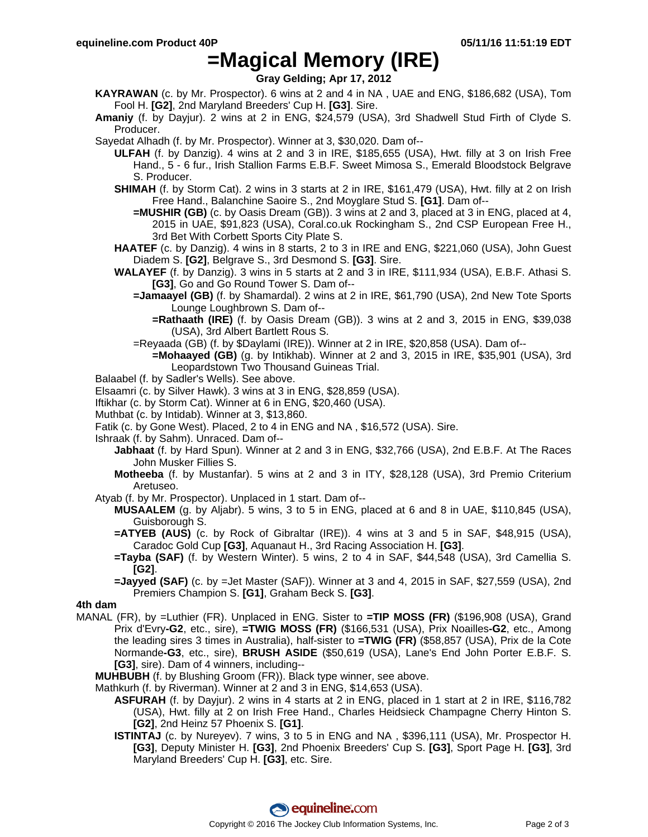### **=Magical Memory (IRE)**

**Gray Gelding; Apr 17, 2012**

**KAYRAWAN** (c. by Mr. Prospector). 6 wins at 2 and 4 in NA , UAE and ENG, \$186,682 (USA), Tom Fool H. **[G2]**, 2nd Maryland Breeders' Cup H. **[G3]**. Sire.

**Amaniy** (f. by Dayjur). 2 wins at 2 in ENG, \$24,579 (USA), 3rd Shadwell Stud Firth of Clyde S. Producer.

- Sayedat Alhadh (f. by Mr. Prospector). Winner at 3, \$30,020. Dam of--
	- **ULFAH** (f. by Danzig). 4 wins at 2 and 3 in IRE, \$185,655 (USA), Hwt. filly at 3 on Irish Free Hand., 5 - 6 fur., Irish Stallion Farms E.B.F. Sweet Mimosa S., Emerald Bloodstock Belgrave S. Producer.
	- **SHIMAH** (f. by Storm Cat). 2 wins in 3 starts at 2 in IRE, \$161,479 (USA), Hwt. filly at 2 on Irish Free Hand., Balanchine Saoire S., 2nd Moyglare Stud S. **[G1]**. Dam of--
		- **=MUSHIR (GB)** (c. by Oasis Dream (GB)). 3 wins at 2 and 3, placed at 3 in ENG, placed at 4, 2015 in UAE, \$91,823 (USA), Coral.co.uk Rockingham S., 2nd CSP European Free H., 3rd Bet With Corbett Sports City Plate S.
	- **HAATEF** (c. by Danzig). 4 wins in 8 starts, 2 to 3 in IRE and ENG, \$221,060 (USA), John Guest Diadem S. **[G2]**, Belgrave S., 3rd Desmond S. **[G3]**. Sire.
	- **WALAYEF** (f. by Danzig). 3 wins in 5 starts at 2 and 3 in IRE, \$111,934 (USA), E.B.F. Athasi S. **[G3]**, Go and Go Round Tower S. Dam of--
		- **=Jamaayel (GB)** (f. by Shamardal). 2 wins at 2 in IRE, \$61,790 (USA), 2nd New Tote Sports Lounge Loughbrown S. Dam of--
			- **=Rathaath (IRE)** (f. by Oasis Dream (GB)). 3 wins at 2 and 3, 2015 in ENG, \$39,038 (USA), 3rd Albert Bartlett Rous S.
		- =Reyaada (GB) (f. by \$Daylami (IRE)). Winner at 2 in IRE, \$20,858 (USA). Dam of--
			- **=Mohaayed (GB)** (g. by Intikhab). Winner at 2 and 3, 2015 in IRE, \$35,901 (USA), 3rd Leopardstown Two Thousand Guineas Trial.
- Balaabel (f. by Sadler's Wells). See above.
- Elsaamri (c. by Silver Hawk). 3 wins at 3 in ENG, \$28,859 (USA).
- Iftikhar (c. by Storm Cat). Winner at 6 in ENG, \$20,460 (USA).
- Muthbat (c. by Intidab). Winner at 3, \$13,860.
- Fatik (c. by Gone West). Placed, 2 to 4 in ENG and NA , \$16,572 (USA). Sire.
- Ishraak (f. by Sahm). Unraced. Dam of--
	- **Jabhaat** (f. by Hard Spun). Winner at 2 and 3 in ENG, \$32,766 (USA), 2nd E.B.F. At The Races John Musker Fillies S.
	- **Motheeba** (f. by Mustanfar). 5 wins at 2 and 3 in ITY, \$28,128 (USA), 3rd Premio Criterium Aretuseo.
- Atyab (f. by Mr. Prospector). Unplaced in 1 start. Dam of--
	- **MUSAALEM** (g. by Aljabr). 5 wins, 3 to 5 in ENG, placed at 6 and 8 in UAE, \$110,845 (USA), Guisborough S.
	- **=ATYEB (AUS)** (c. by Rock of Gibraltar (IRE)). 4 wins at 3 and 5 in SAF, \$48,915 (USA), Caradoc Gold Cup **[G3]**, Aquanaut H., 3rd Racing Association H. **[G3]**.
	- **=Tayba (SAF)** (f. by Western Winter). 5 wins, 2 to 4 in SAF, \$44,548 (USA), 3rd Camellia S. **[G2]**.
	- **=Jayyed (SAF)** (c. by =Jet Master (SAF)). Winner at 3 and 4, 2015 in SAF, \$27,559 (USA), 2nd Premiers Champion S. **[G1]**, Graham Beck S. **[G3]**.

#### **4th dam**

- MANAL (FR), by =Luthier (FR). Unplaced in ENG. Sister to **=TIP MOSS (FR)** (\$196,908 (USA), Grand Prix d'Evry**-G2**, etc., sire), **=TWIG MOSS (FR)** (\$166,531 (USA), Prix Noailles**-G2**, etc., Among the leading sires 3 times in Australia), half-sister to **=TWIG (FR)** (\$58,857 (USA), Prix de la Cote Normande**-G3**, etc., sire), **BRUSH ASIDE** (\$50,619 (USA), Lane's End John Porter E.B.F. S. **[G3]**, sire). Dam of 4 winners, including--
	- **MUHBUBH** (f. by Blushing Groom (FR)). Black type winner, see above.
	- Mathkurh (f. by Riverman). Winner at 2 and 3 in ENG, \$14,653 (USA).
		- **ASFURAH** (f. by Dayjur). 2 wins in 4 starts at 2 in ENG, placed in 1 start at 2 in IRE, \$116,782 (USA), Hwt. filly at 2 on Irish Free Hand., Charles Heidsieck Champagne Cherry Hinton S. **[G2]**, 2nd Heinz 57 Phoenix S. **[G1]**.
		- **ISTINTAJ** (c. by Nureyev). 7 wins, 3 to 5 in ENG and NA , \$396,111 (USA), Mr. Prospector H. **[G3]**, Deputy Minister H. **[G3]**, 2nd Phoenix Breeders' Cup S. **[G3]**, Sport Page H. **[G3]**, 3rd Maryland Breeders' Cup H. **[G3]**, etc. Sire.